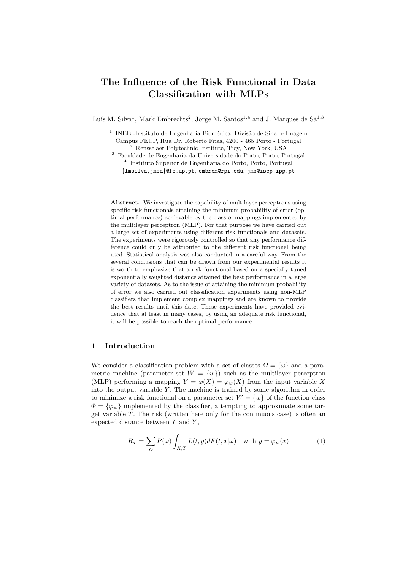# The Influence of the Risk Functional in Data Classification with MLPs

Luís M. Silva<sup>1</sup>, Mark Embrechts<sup>2</sup>, Jorge M. Santos<sup>1,4</sup> and J. Marques de Sá<sup>1,3</sup>

<sup>1</sup> INEB -Instituto de Engenharia Biomédica, Divisão de Sinal e Imagem Campus FEUP, Rua Dr. Roberto Frias, 4200 - 465 Porto - Portugal  $^2$  Rensselaer Polytechnic Institute, Troy, New York, USA

<sup>3</sup> Faculdade de Engenharia da Universidade do Porto, Porto, Portugal 4 Instituto Superior de Engenharia do Porto, Porto, Portugal {lmsilva,jmsa}@fe.up.pt, embrem@rpi.edu, jms@isep.ipp.pt

Abstract. We investigate the capability of multilayer perceptrons using specific risk functionals attaining the minimum probability of error (optimal performance) achievable by the class of mappings implemented by the multilayer perceptron (MLP). For that purpose we have carried out a large set of experiments using different risk functionals and datasets. The experiments were rigorously controlled so that any performance difference could only be attributed to the different risk functional being used. Statistical analysis was also conducted in a careful way. From the several conclusions that can be drawn from our experimental results it is worth to emphasize that a risk functional based on a specially tuned exponentially weighted distance attained the best performance in a large variety of datasets. As to the issue of attaining the minimum probability of error we also carried out classification experiments using non-MLP classifiers that implement complex mappings and are known to provide the best results until this date. These experiments have provided evidence that at least in many cases, by using an adequate risk functional, it will be possible to reach the optimal performance.

# 1 Introduction

We consider a classification problem with a set of classes  $\Omega = {\omega}$  and a parametric machine (parameter set  $W = \{w\}$ ) such as the multilayer perceptron (MLP) performing a mapping  $Y = \varphi(X) = \varphi_w(X)$  from the input variable X into the output variable  $Y$ . The machine is trained by some algorithm in order to minimize a risk functional on a parameter set  $W = \{w\}$  of the function class  $\Phi = {\varphi_w}$  implemented by the classifier, attempting to approximate some target variable  $T$ . The risk (written here only for the continuous case) is often an expected distance between  $T$  and  $Y$ ,

$$
R_{\Phi} = \sum_{\Omega} P(\omega) \int_{X,T} L(t,y) dF(t,x|\omega) \quad \text{with } y = \varphi_w(x) \tag{1}
$$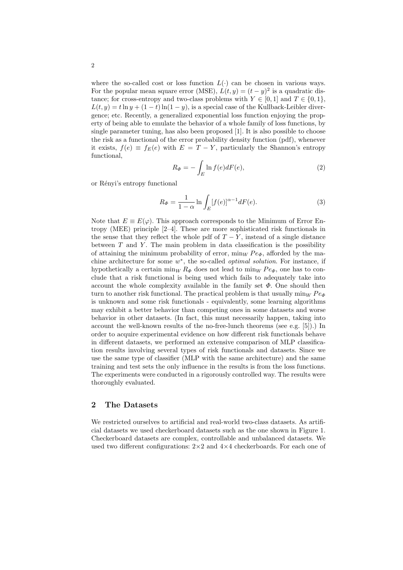where the so-called cost or loss function  $L(\cdot)$  can be chosen in various ways. For the popular mean square error (MSE),  $L(t, y) = (t - y)^2$  is a quadratic distance; for cross-entropy and two-class problems with  $Y \in [0, 1]$  and  $T \in \{0, 1\}$ ,  $L(t, y) = t \ln y + (1 - t) \ln(1 - y)$ , is a special case of the Kullback-Leibler divergence; etc. Recently, a generalized exponential loss function enjoying the property of being able to emulate the behavior of a whole family of loss functions, by single parameter tuning, has also been proposed [1]. It is also possible to choose the risk as a functional of the error probability density function (pdf), whenever it exists,  $f(e) \equiv f_E(e)$  with  $E = T - Y$ , particularly the Shannon's entropy functional,

$$
R_{\Phi} = -\int_{E} \ln f(e) dF(e), \qquad (2)
$$

or Rényi's entropy functional

$$
R_{\Phi} = \frac{1}{1 - \alpha} \ln \int_{E} [f(e)]^{\alpha - 1} dF(e).
$$
 (3)

Note that  $E \equiv E(\varphi)$ . This approach corresponds to the Minimum of Error Entropy (MEE) principle [2–4]. These are more sophisticated risk functionals in the sense that they reflect the whole pdf of  $T - Y$ , instead of a single distance between  $T$  and  $Y$ . The main problem in data classification is the possibility of attaining the minimum probability of error,  $\min_W Pe_{\Phi}$ , afforded by the machine architecture for some  $w^*$ , the so-called *optimal solution*. For instance, if hypothetically a certain min<sub>W</sub>  $R_{\Phi}$  does not lead to min<sub>W</sub>  $Pe_{\Phi}$ , one has to conclude that a risk functional is being used which fails to adequately take into account the whole complexity available in the family set  $\Phi$ . One should then turn to another risk functional. The practical problem is that usually  $\min_W Pe_{\phi}$ is unknown and some risk functionals - equivalently, some learning algorithms may exhibit a better behavior than competing ones in some datasets and worse behavior in other datasets. (In fact, this must necessarily happen, taking into account the well-known results of the no-free-lunch theorems (see e.g. [5]).) In order to acquire experimental evidence on how different risk functionals behave in different datasets, we performed an extensive comparison of MLP classification results involving several types of risk functionals and datasets. Since we use the same type of classifier (MLP with the same architecture) and the same training and test sets the only influence in the results is from the loss functions. The experiments were conducted in a rigorously controlled way. The results were thoroughly evaluated.

#### 2 The Datasets

We restricted ourselves to artificial and real-world two-class datasets. As artificial datasets we used checkerboard datasets such as the one shown in Figure 1. Checkerboard datasets are complex, controllable and unbalanced datasets. We used two different configurations:  $2\times 2$  and  $4\times 4$  checkerboards. For each one of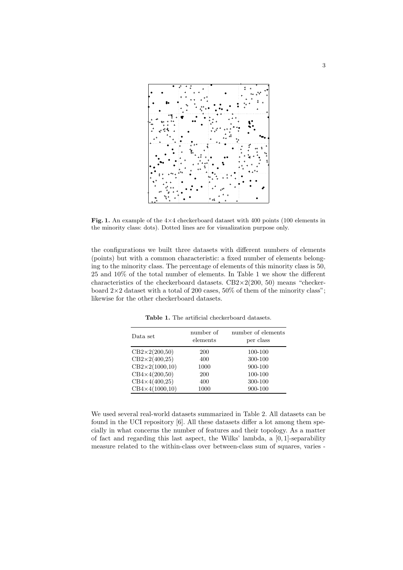

Fig. 1. An example of the  $4\times4$  checkerboard dataset with 400 points (100 elements in the minority class: dots). Dotted lines are for visualization purpose only.

the configurations we built three datasets with different numbers of elements (points) but with a common characteristic: a fixed number of elements belonging to the minority class. The percentage of elements of this minority class is 50, 25 and 10% of the total number of elements. In Table 1 we show the different characteristics of the checkerboard datasets. CB2×2(200, 50) means "checkerboard  $2\times 2$  dataset with a total of 200 cases, 50% of them of the minority class"; likewise for the other checkerboard datasets.

| Data set                     | number of<br>elements | number of elements<br>per class |
|------------------------------|-----------------------|---------------------------------|
| $CB2\times2(200,50)$         | 200                   | 100-100                         |
| $\text{CB2}\times2(400,25)$  | 400                   | 300-100                         |
| $\text{CB2}\times2(1000,10)$ | 1000                  | 900-100                         |
| $CB4\times4(200,50)$         | <b>200</b>            | 100-100                         |
| $CB4\times4(400,25)$         | 400                   | 300-100                         |
| $CB4\times4(1000,10)$        | 1000                  | 900-100                         |

Table 1. The artificial checkerboard datasets.

We used several real-world datasets summarized in Table 2. All datasets can be found in the UCI repository [6]. All these datasets differ a lot among them specially in what concerns the number of features and their topology. As a matter of fact and regarding this last aspect, the Wilks' lambda, a [0, 1]-separability measure related to the within-class over between-class sum of squares, varies -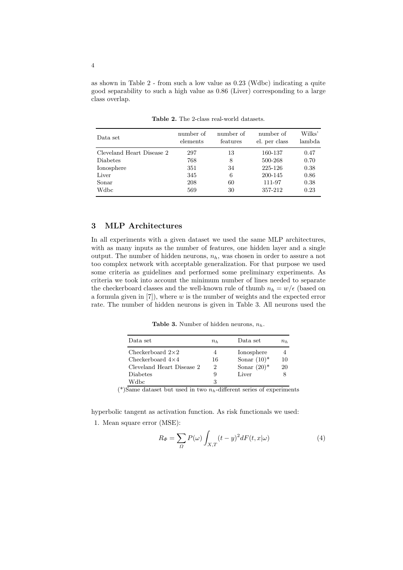as shown in Table 2 - from such a low value as 0.23 (Wdbc) indicating a quite good separability to such a high value as 0.86 (Liver) corresponding to a large class overlap.

| Data set                  | number of<br>elements | number of<br>features | number of<br>el. per class | Wilks'<br>lambda |
|---------------------------|-----------------------|-----------------------|----------------------------|------------------|
| Cleveland Heart Disease 2 | 297                   | 13                    | 160-137                    | 0.47             |
| Diabetes                  | 768                   | 8                     | 500-268                    | 0.70             |
| Ionosphere                | 351                   | 34                    | 225-126                    | 0.38             |
| Liver                     | 345                   | 6                     | 200-145                    | 0.86             |
| Sonar                     | 208                   | 60                    | 111-97                     | 0.38             |
| Wdbc                      | 569                   | 30                    | 357-212                    | 0.23             |

Table 2. The 2-class real-world datasets.

## 3 MLP Architectures

In all experiments with a given dataset we used the same MLP architectures, with as many inputs as the number of features, one hidden layer and a single output. The number of hidden neurons,  $n_h$ , was chosen in order to assure a not too complex network with acceptable generalization. For that purpose we used some criteria as guidelines and performed some preliminary experiments. As criteria we took into account the minimum number of lines needed to separate the checkerboard classes and the well-known rule of thumb  $n_h = w/\epsilon$  (based on a formula given in  $[7]$ , where w is the number of weights and the expected error rate. The number of hidden neurons is given in Table 3. All neurons used the

Table 3. Number of hidden neurons,  $n_h$ .

| Data set                  | $n_h$ | Data set       | $n_{h}$ |
|---------------------------|-------|----------------|---------|
| Checkerboard $2\times 2$  | 4     | Ionosphere     |         |
| Checkerboard $4\times4$   | 16    | Sonar $(10)^*$ | 10      |
| Cleveland Heart Disease 2 | 2     | Sonar $(20)^*$ | 20      |
| Diabetes                  | 9     | Liver          |         |
| Wdbc                      | 3     |                |         |

(\*)Same dataset but used in two  $n_h$ -different series of experiments

hyperbolic tangent as activation function. As risk functionals we used: 1. Mean square error (MSE):

$$
R_{\Phi} = \sum_{\Omega} P(\omega) \int_{X,T} (t - y)^2 dF(t, x|\omega)
$$
\n(4)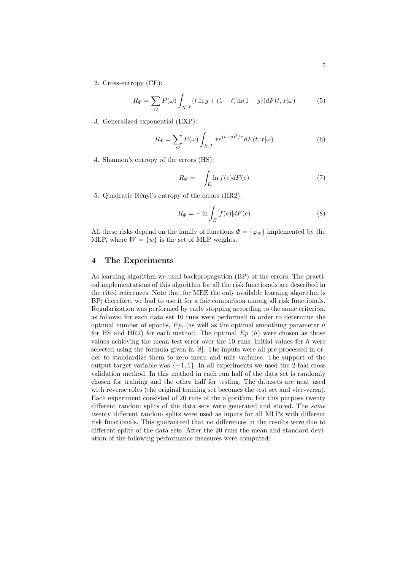2. Cross-entropy (CE):

$$
R_{\Phi} = \sum_{\Omega} P(\omega) \int_{X,T} (t \ln y + (1-t) \ln(1-y)) dF(t, x|\omega)
$$
 (5)

3. Generalized exponential (EXP):

$$
R_{\Phi} = \sum_{\Omega} P(\omega) \int_{X,T} \tau e^{(t-y)^2/\tau} dF(t,x|\omega)
$$
 (6)

4. Shannon's entropy of the errors (HS):

$$
R_{\Phi} = -\int_{E} \ln f(e) dF(e) \tag{7}
$$

5. Quadratic Rényi's entropy of the errors (HR2):

$$
R_{\Phi} = -\ln \int_{E} [f(e)]dF(e) \tag{8}
$$

All these risks depend on the family of functions  $\Phi = {\varphi_w}$  implemented by the MLP, where  $W = \{w\}$  is the set of MLP weights.

#### 4 The Experiments

As learning algorithm we used backpropagation (BP) of the errors. The practical implementations of this algorithm for all the risk functionals are described in the cited references. Note that for MEE the only available learning algorithm is BP; therefore, we had to use it for a fair comparison among all risk functionals. Regularization was performed by early stopping according to the same criterion, as follows: for each data set 10 runs were performed in order to determine the optimal number of epochs,  $Ep$ , (as well as the optimal smoothing parameter  $h$ for HS and HR2) for each method. The optimal  $Ep(h)$  were chosen as those values achieving the mean test error over the 10 runs. Initial values for  $h$  were selected using the formula given in [8]. The inputs were all pre-processed in order to standardize them to zero mean and unit variance. The support of the output target variable was  $\{-1, 1\}$ . In all experiments we used the 2-fold cross validation method. In this method in each run half of the data set is randomly chosen for training and the other half for testing. The datasets are next used with reverse roles (the original training set becomes the test set and vice-versa). Each experiment consisted of 20 runs of the algorithm. For this purpose twenty different random splits of the data sets were generated and stored. The same twenty different random splits were used as inputs for all MLPs with different risk functionals. This guaranteed that no differences in the results were due to different splits of the data sets. After the 20 runs the mean and standard deviation of the following performance measures were computed: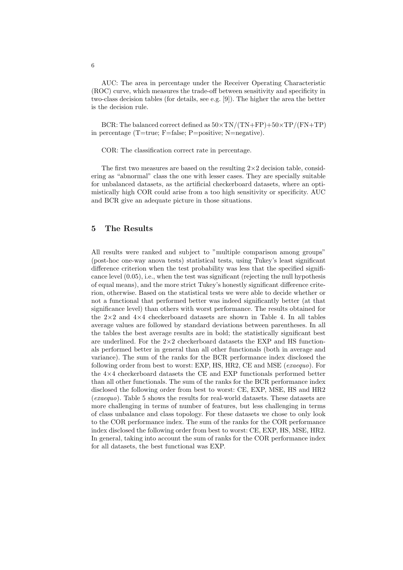AUC: The area in percentage under the Receiver Operating Characteristic (ROC) curve, which measures the trade-off between sensitivity and specificity in two-class decision tables (for details, see e.g. [9]). The higher the area the better is the decision rule.

BCR: The balanced correct defined as  $50\times TN/(TN+FP)+50\times TP/(FN+TP)$ in percentage (T=true; F=false; P=positive; N=negative).

COR: The classification correct rate in percentage.

The first two measures are based on the resulting  $2\times 2$  decision table, considering as "abnormal" class the one with lesser cases. They are specially suitable for unbalanced datasets, as the artificial checkerboard datasets, where an optimistically high COR could arise from a too high sensitivity or specificity. AUC and BCR give an adequate picture in those situations.

# 5 The Results

All results were ranked and subject to "multiple comparison among groups" (post-hoc one-way anova tests) statistical tests, using Tukey's least significant difference criterion when the test probability was less that the specified significance level (0.05), i.e., when the test was significant (rejecting the null hypothesis of equal means), and the more strict Tukey's honestly significant difference criterion, otherwise. Based on the statistical tests we were able to decide whether or not a functional that performed better was indeed significantly better (at that significance level) than others with worst performance. The results obtained for the  $2\times2$  and  $4\times4$  checkerboard datasets are shown in Table 4. In all tables average values are followed by standard deviations between parentheses. In all the tables the best average results are in bold; the statistically significant best are underlined. For the  $2\times 2$  checkerboard datasets the EXP and HS functionals performed better in general than all other functionals (both in average and variance). The sum of the ranks for the BCR performance index disclosed the following order from best to worst: EXP, HS, HR2, CE and MSE (exaequo). For the 4×4 checkerboard datasets the CE and EXP functionals performed better than all other functionals. The sum of the ranks for the BCR performance index disclosed the following order from best to worst: CE, EXP, MSE, HS and HR2 (exaequo). Table 5 shows the results for real-world datasets. These datasets are more challenging in terms of number of features, but less challenging in terms of class unbalance and class topology. For these datasets we chose to only look to the COR performance index. The sum of the ranks for the COR performance index disclosed the following order from best to worst: CE, EXP, HS, MSE, HR2. In general, taking into account the sum of ranks for the COR performance index for all datasets, the best functional was EXP.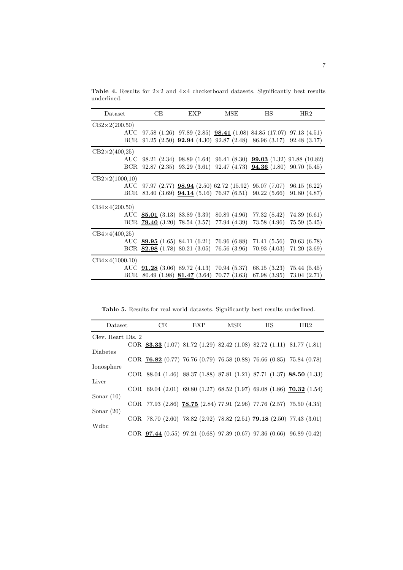| Dataset               | CЕ | <b>EXP</b> | MSE | ΗS                                                                     | HR2                                                                   |
|-----------------------|----|------------|-----|------------------------------------------------------------------------|-----------------------------------------------------------------------|
| $CB2\times2(200,50)$  |    |            |     |                                                                        |                                                                       |
|                       |    |            |     | AUC 97.58 (1.26) 97.89 (2.85) 98.41 (1.08) 84.85 (17.07) 97.13 (4.51)  |                                                                       |
|                       |    |            |     | BCR 91.25 (2.50) $92.94$ (4.30) 92.87 (2.48) 86.96 (3.17) 92.48 (3.17) |                                                                       |
| $CB2\times2(400,25)$  |    |            |     |                                                                        |                                                                       |
|                       |    |            |     |                                                                        | AUC 98.21 (2.34) 98.89 (1.64) 96.41 (8.30) 99.03 (1.32) 91.88 (10.82) |
|                       |    |            |     |                                                                        | BCR 92.87 (2.35) 93.29 (3.61) 92.47 (4.73) 94.36 (1.80) 90.70 (5.45)  |
| $CB2\times2(1000,10)$ |    |            |     |                                                                        |                                                                       |
|                       |    |            |     | AUC 97.97 (2.77) 98.94 (2.50) 62.72 (15.92) 95.07 (7.07) 96.15 (6.22)  |                                                                       |
|                       |    |            |     | BCR 83.40 $(3.69)$ <b>94.14</b> $(5.16)$ 76.97 $(6.51)$ 90.22 $(5.66)$ | 91.80(4.87)                                                           |
| $CB4\times4(200,50)$  |    |            |     |                                                                        |                                                                       |
|                       |    |            |     | AUC $85.01$ (3.13) 83.89 (3.39) 80.89 (4.96) 77.32 (8.42) 74.39 (6.61) |                                                                       |
|                       |    |            |     | BCR 79.40 (3.20) 78.54 (3.57) 77.94 (4.39) 73.58 (4.96) 75.59 (5.45)   |                                                                       |
| $CB4\times4(400,25)$  |    |            |     |                                                                        |                                                                       |
|                       |    |            |     | AUC 89.95 (1.65) 84.11 (6.21) 76.96 (6.88) 71.41 (5.56) 70.63 (6.78)   |                                                                       |
|                       |    |            |     | BCR 82.98 $(1.78)$ 80.21 $(3.05)$ 76.56 $(3.96)$ 70.93 $(4.03)$        | 71.20(3.69)                                                           |
| $CB4\times4(1000,10)$ |    |            |     |                                                                        |                                                                       |
|                       |    |            |     | AUC 91.28 (3.06) 89.72 (4.13) 70.94 (5.37) 68.15 (3.23) 75.44 (5.45)   |                                                                       |
|                       |    |            |     | BCR 80.49 (1.98) $81.47$ (3.64) 70.77 (3.63) 67.98 (3.95) 73.04 (2.71) |                                                                       |

Table 4. Results for  $2{\times}2$  and  $4{\times}4$  checkerboard datasets. Significantly best results underlined.

Table 5. Results for real-world datasets. Significantly best results underlined.

| Dataset            | CE                                                                     | EXP | MSE | HS | HR2 |
|--------------------|------------------------------------------------------------------------|-----|-----|----|-----|
| Clev. Heart Dis. 2 |                                                                        |     |     |    |     |
|                    | COR 83.33 (1.07) 81.72 (1.29) 82.42 (1.08) 82.72 (1.11) 81.77 (1.81)   |     |     |    |     |
| <b>Diabetes</b>    |                                                                        |     |     |    |     |
|                    | COR $76.82$ (0.77) 76.76 (0.79) 76.58 (0.88) 76.66 (0.85) 75.84 (0.78) |     |     |    |     |
| Ionosphere         |                                                                        |     |     |    |     |
|                    | COR 88.04 (1.46) 88.37 (1.88) 87.81 (1.21) 87.71 (1.37) 88.50 (1.33)   |     |     |    |     |
| Liver              |                                                                        |     |     |    |     |
|                    | COR 69.04 (2.01) 69.80 (1.27) 68.52 (1.97) 69.08 (1.86) 70.32 (1.54)   |     |     |    |     |
| Sonar $(10)$       |                                                                        |     |     |    |     |
|                    | COR 77.93 (2.86) 78.75 (2.84) 77.91 (2.96) 77.76 (2.57) 75.50 (4.35)   |     |     |    |     |
| Sonar $(20)$       |                                                                        |     |     |    |     |
| Wdbc               | COR 78.70 (2.60) 78.82 (2.92) 78.82 (2.51) 79.18 (2.50) 77.43 (3.01)   |     |     |    |     |
|                    | COR $97.44$ (0.55) 97.21 (0.68) 97.39 (0.67) 97.36 (0.66) 96.89 (0.42) |     |     |    |     |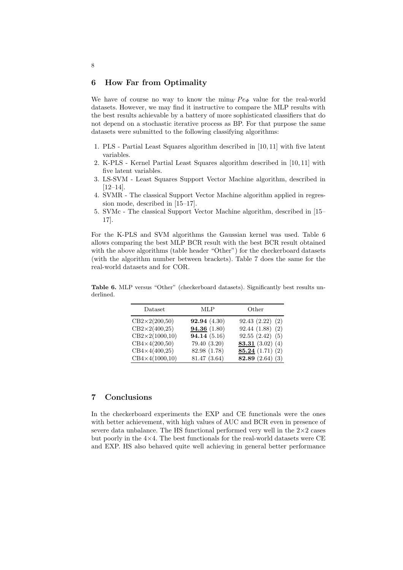#### 6 How Far from Optimality

We have of course no way to know the  $\min_W Pe_\Phi$  value for the real-world datasets. However, we may find it instructive to compare the MLP results with the best results achievable by a battery of more sophisticated classifiers that do not depend on a stochastic iterative process as BP. For that purpose the same datasets were submitted to the following classifying algorithms:

- 1. PLS Partial Least Squares algorithm described in [10, 11] with five latent variables.
- 2. K-PLS Kernel Partial Least Squares algorithm described in [10, 11] with five latent variables.
- 3. LS-SVM Least Squares Support Vector Machine algorithm, described in [12–14].
- 4. SVMR The classical Support Vector Machine algorithm applied in regression mode, described in [15–17].
- 5. SVMc The classical Support Vector Machine algorithm, described in [15– 17].

For the K-PLS and SVM algorithms the Gaussian kernel was used. Table 6 allows comparing the best MLP BCR result with the best BCR result obtained with the above algorithms (table header "Other") for the checkerboard datasets (with the algorithm number between brackets). Table 7 does the same for the real-world datasets and for COR.

Table 6. MLP versus "Other" (checkerboard datasets). Significantly best results underlined.

| Dataset                     | MLP          | Other              |
|-----------------------------|--------------|--------------------|
| $\text{CB2}\times2(200,50)$ | 92.94(4.30)  | 92.43(2.22)(2)     |
| $\text{CB2}\times2(400,25)$ | 94.36 (1.80) | 92.44(1.88)(2)     |
| $CB2\times2(1000,10)$       | 94.14 (5.16) | 92.55(2.42)(5)     |
| $CB4\times4(200,50)$        | 79.40 (3.20) | 83.31 $(3.02)$ (4) |
| $CB4\times4(400,25)$        | 82.98 (1.78) | 85.24(1.71)(2)     |
| $CB4 \times 4(1000, 10)$    | 81.47 (3.64) | 82.89 $(2.64)$ (3) |

## 7 Conclusions

In the checkerboard experiments the EXP and CE functionals were the ones with better achievement, with high values of AUC and BCR even in presence of severe data unbalance. The HS functional performed very well in the  $2\times 2$  cases but poorly in the  $4\times4$ . The best functionals for the real-world datasets were CE and EXP. HS also behaved quite well achieving in general better performance

8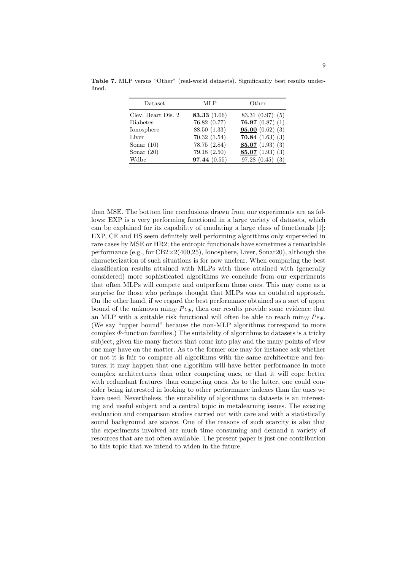| Dataset            | MLP            | Other                |
|--------------------|----------------|----------------------|
| Clev. Heart Dis. 2 | 83.33 $(1.06)$ | 83.31(0.97)(5)       |
| Diabetes           | 76.82 (0.77)   | 76.97 $(0.87)$ (1)   |
| Ionosphere         | 88.50 (1.33)   | 95.00(0.62)(3)       |
| Liver              | 70.32(1.54)    | 70.84 $(1.63)$ $(3)$ |
| Sonar $(10)$       | 78.75 (2.84)   | 85.07 $(1.93)$ $(3)$ |
| Sonar $(20)$       | 79.18 (2.50)   | 85.07 $(1.93)$ $(3)$ |
| Wdbc               | 97.44(0.55)    | 97.28(0.45)<br>(3)   |

Table 7. MLP versus "Other" (real-world datasets). Significantly best results underlined.

than MSE. The bottom line conclusions drawn from our experiments are as follows: EXP is a very performing functional in a large variety of datasets, which can be explained for its capability of emulating a large class of functionals [1]; EXP, CE and HS seem definitely well performing algorithms only superseded in rare cases by MSE or HR2; the entropic functionals have sometimes a remarkable performance (e.g., for  $CB2\times2(400,25)$ , Ionosphere, Liver, Sonar20), although the characterization of such situations is for now unclear. When comparing the best classification results attained with MLPs with those attained with (generally considered) more sophisticated algorithms we conclude from our experiments that often MLPs will compete and outperform those ones. This may come as a surprise for those who perhaps thought that MLPs was an outdated approach. On the other hand, if we regard the best performance obtained as a sort of upper bound of the unknown min<sub>W</sub>  $Pe_{\Phi}$ , then our results provide some evidence that an MLP with a suitable risk functional will often be able to reach  $\min_W Pe_{\Phi}$ . (We say "upper bound" because the non-MLP algorithms correspond to more complex  $\Phi$ -function families.) The suitability of algorithms to datasets is a tricky subject, given the many factors that come into play and the many points of view one may have on the matter. As to the former one may for instance ask whether or not it is fair to compare all algorithms with the same architecture and features; it may happen that one algorithm will have better performance in more complex architectures than other competing ones, or that it will cope better with redundant features than competing ones. As to the latter, one could consider being interested in looking to other performance indexes than the ones we have used. Nevertheless, the suitability of algorithms to datasets is an interesting and useful subject and a central topic in metalearning issues. The existing evaluation and comparison studies carried out with care and with a statistically sound background are scarce. One of the reasons of such scarcity is also that the experiments involved are much time consuming and demand a variety of resources that are not often available. The present paper is just one contribution to this topic that we intend to widen in the future.